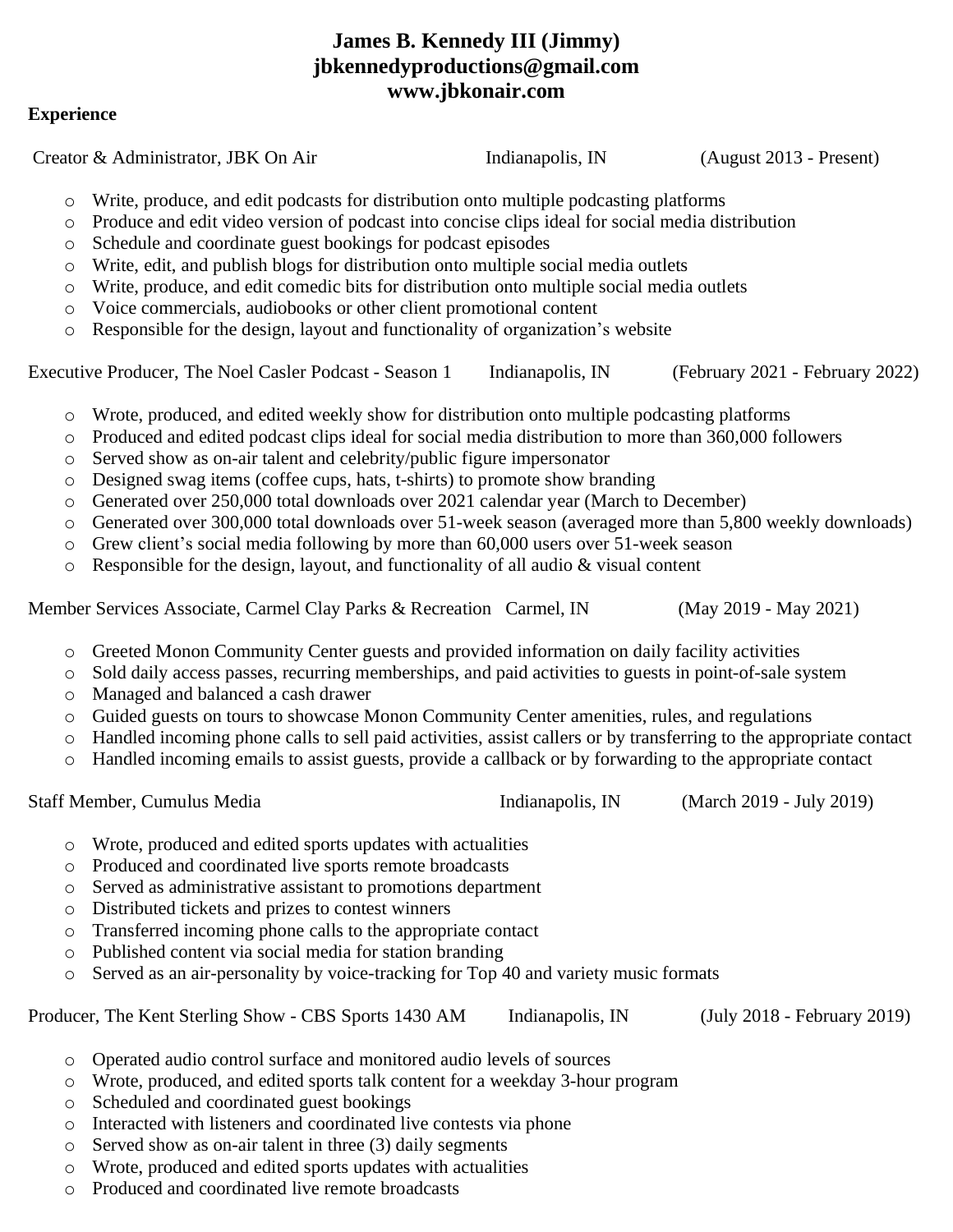# **James B. Kennedy III (Jimmy) jbkennedyproductions@gmail.com www.jbkonair.com**

#### **Experience**

Creator & Administrator, JBK On Air Indianapolis, IN (August 2013 - Present) o Write, produce, and edit podcasts for distribution onto multiple podcasting platforms o Produce and edit video version of podcast into concise clips ideal for social media distribution o Schedule and coordinate guest bookings for podcast episodes o Write, edit, and publish blogs for distribution onto multiple social media outlets o Write, produce, and edit comedic bits for distribution onto multiple social media outlets o Voice commercials, audiobooks or other client promotional content o Responsible for the design, layout and functionality of organization's website Executive Producer, The Noel Casler Podcast - Season 1 Indianapolis, IN (February 2021 - February 2022) o Wrote, produced, and edited weekly show for distribution onto multiple podcasting platforms o Produced and edited podcast clips ideal for social media distribution to more than 360,000 followers o Served show as on-air talent and celebrity/public figure impersonator o Designed swag items (coffee cups, hats, t-shirts) to promote show branding o Generated over 250,000 total downloads over 2021 calendar year (March to December) o Generated over 300,000 total downloads over 51-week season (averaged more than 5,800 weekly downloads) o Grew client's social media following by more than 60,000 users over 51-week season o Responsible for the design, layout, and functionality of all audio & visual content Member Services Associate, Carmel Clay Parks & Recreation Carmel, IN (May 2019 - May 2021) o Greeted Monon Community Center guests and provided information on daily facility activities o Sold daily access passes, recurring memberships, and paid activities to guests in point-of-sale system o Managed and balanced a cash drawer o Guided guests on tours to showcase Monon Community Center amenities, rules, and regulations o Handled incoming phone calls to sell paid activities, assist callers or by transferring to the appropriate contact o Handled incoming emails to assist guests, provide a callback or by forwarding to the appropriate contact Staff Member, Cumulus Media **Indianapolis, IN** (March 2019 - July 2019) o Wrote, produced and edited sports updates with actualities o Produced and coordinated live sports remote broadcasts o Served as administrative assistant to promotions department o Distributed tickets and prizes to contest winners o Transferred incoming phone calls to the appropriate contact o Published content via social media for station branding o Served as an air-personality by voice-tracking for Top 40 and variety music formats Producer, The Kent Sterling Show - CBS Sports 1430 AM Indianapolis, IN (July 2018 - February 2019) o Operated audio control surface and monitored audio levels of sources o Wrote, produced, and edited sports talk content for a weekday 3-hour program o Scheduled and coordinated guest bookings o Interacted with listeners and coordinated live contests via phone o Served show as on-air talent in three (3) daily segments o Wrote, produced and edited sports updates with actualities

o Produced and coordinated live remote broadcasts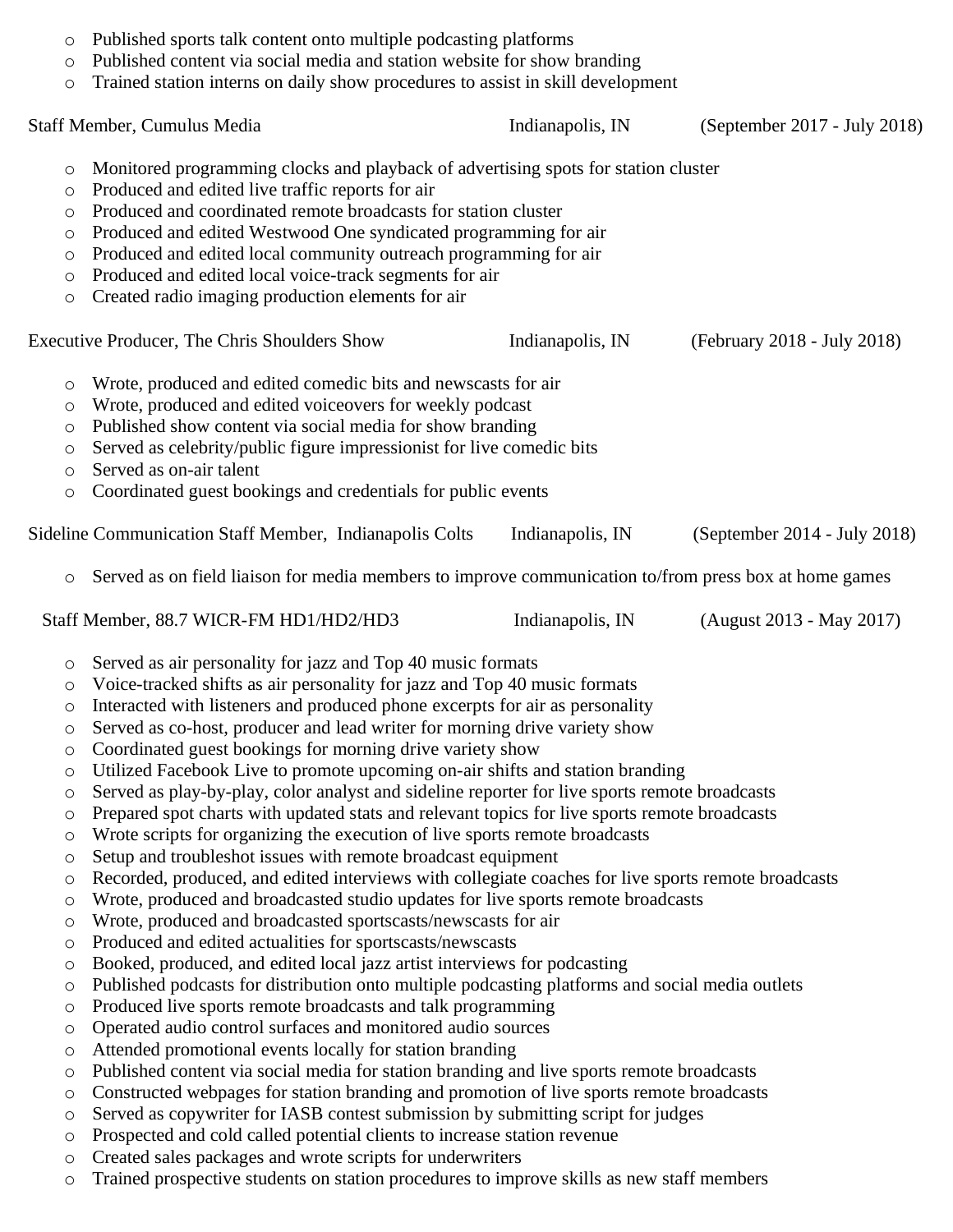| O                   | Published sports talk content onto multiple podcasting platforms                                                                                                             |                  |                              |
|---------------------|------------------------------------------------------------------------------------------------------------------------------------------------------------------------------|------------------|------------------------------|
| $\circ$             | Published content via social media and station website for show branding<br>Trained station interns on daily show procedures to assist in skill development                  |                  |                              |
| $\circlearrowright$ |                                                                                                                                                                              |                  |                              |
|                     | Staff Member, Cumulus Media                                                                                                                                                  | Indianapolis, IN | (September 2017 - July 2018) |
| O                   | Monitored programming clocks and playback of advertising spots for station cluster                                                                                           |                  |                              |
| O                   | Produced and edited live traffic reports for air                                                                                                                             |                  |                              |
| $\circ$             | Produced and coordinated remote broadcasts for station cluster                                                                                                               |                  |                              |
| $\circ$             | Produced and edited Westwood One syndicated programming for air                                                                                                              |                  |                              |
| O                   | Produced and edited local community outreach programming for air                                                                                                             |                  |                              |
| O                   | Produced and edited local voice-track segments for air                                                                                                                       |                  |                              |
| $\circ$             | Created radio imaging production elements for air                                                                                                                            |                  |                              |
|                     | Executive Producer, The Chris Shoulders Show                                                                                                                                 | Indianapolis, IN | (February 2018 - July 2018)  |
| O                   | Wrote, produced and edited comedic bits and newscasts for air                                                                                                                |                  |                              |
| O                   | Wrote, produced and edited voiceovers for weekly podcast                                                                                                                     |                  |                              |
| O                   | Published show content via social media for show branding                                                                                                                    |                  |                              |
| O                   | Served as celebrity/public figure impressionist for live comedic bits                                                                                                        |                  |                              |
| O                   | Served as on-air talent                                                                                                                                                      |                  |                              |
| $\circlearrowright$ | Coordinated guest bookings and credentials for public events                                                                                                                 |                  |                              |
|                     | Sideline Communication Staff Member, Indianapolis Colts                                                                                                                      | Indianapolis, IN | (September 2014 - July 2018) |
| $\circ$             | Served as on field liaison for media members to improve communication to/from press box at home games                                                                        |                  |                              |
|                     | Staff Member, 88.7 WICR-FM HD1/HD2/HD3                                                                                                                                       | Indianapolis, IN | (August 2013 - May 2017)     |
| $\circ$             | Served as air personality for jazz and Top 40 music formats                                                                                                                  |                  |                              |
| O                   | Voice-tracked shifts as air personality for jazz and Top 40 music formats                                                                                                    |                  |                              |
| $\circ$             | Interacted with listeners and produced phone excerpts for air as personality                                                                                                 |                  |                              |
| O                   | Served as co-host, producer and lead writer for morning drive variety show                                                                                                   |                  |                              |
| O                   | Coordinated guest bookings for morning drive variety show                                                                                                                    |                  |                              |
| $\circ$             | Utilized Facebook Live to promote upcoming on-air shifts and station branding                                                                                                |                  |                              |
| O                   | Served as play-by-play, color analyst and sideline reporter for live sports remote broadcasts                                                                                |                  |                              |
| $\circ$             | Prepared spot charts with updated stats and relevant topics for live sports remote broadcasts                                                                                |                  |                              |
| O                   | Wrote scripts for organizing the execution of live sports remote broadcasts                                                                                                  |                  |                              |
| O                   | Setup and troubleshot issues with remote broadcast equipment                                                                                                                 |                  |                              |
| $\circ$             | Recorded, produced, and edited interviews with collegiate coaches for live sports remote broadcasts                                                                          |                  |                              |
| O                   | Wrote, produced and broadcasted studio updates for live sports remote broadcasts                                                                                             |                  |                              |
| O                   | Wrote, produced and broadcasted sportscasts/newscasts for air                                                                                                                |                  |                              |
| O                   | Produced and edited actualities for sportscasts/newscasts                                                                                                                    |                  |                              |
| $\circ$             | Booked, produced, and edited local jazz artist interviews for podcasting                                                                                                     |                  |                              |
| O                   | Published podcasts for distribution onto multiple podcasting platforms and social media outlets                                                                              |                  |                              |
| O                   | Produced live sports remote broadcasts and talk programming                                                                                                                  |                  |                              |
| $\circ$             | Operated audio control surfaces and monitored audio sources                                                                                                                  |                  |                              |
| O                   | Attended promotional events locally for station branding                                                                                                                     |                  |                              |
| $\circ$             | Published content via social media for station branding and live sports remote broadcasts                                                                                    |                  |                              |
| $\circ$             | Constructed webpages for station branding and promotion of live sports remote broadcasts<br>Served as copywriter for IASB contest submission by submitting script for judges |                  |                              |
| O                   |                                                                                                                                                                              |                  |                              |
| $\circ$             | Prospected and cold called potential clients to increase station revenue                                                                                                     |                  |                              |

- o Created sales packages and wrote scripts for underwriters
- o Trained prospective students on station procedures to improve skills as new staff members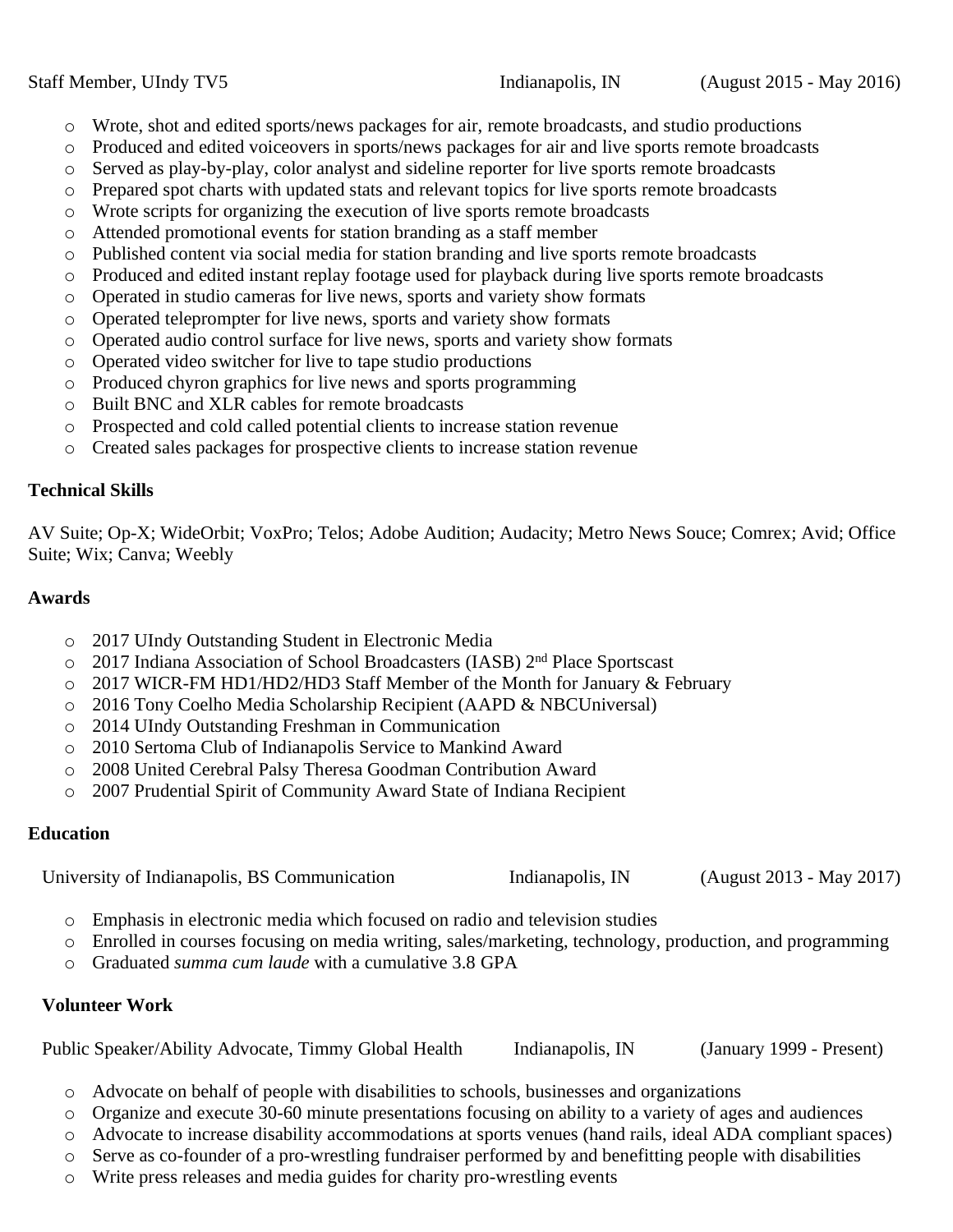- o Wrote, shot and edited sports/news packages for air, remote broadcasts, and studio productions
- o Produced and edited voiceovers in sports/news packages for air and live sports remote broadcasts
- o Served as play-by-play, color analyst and sideline reporter for live sports remote broadcasts
- o Prepared spot charts with updated stats and relevant topics for live sports remote broadcasts
- o Wrote scripts for organizing the execution of live sports remote broadcasts
- o Attended promotional events for station branding as a staff member
- o Published content via social media for station branding and live sports remote broadcasts
- o Produced and edited instant replay footage used for playback during live sports remote broadcasts
- o Operated in studio cameras for live news, sports and variety show formats
- o Operated teleprompter for live news, sports and variety show formats
- o Operated audio control surface for live news, sports and variety show formats
- o Operated video switcher for live to tape studio productions
- o Produced chyron graphics for live news and sports programming
- o Built BNC and XLR cables for remote broadcasts
- o Prospected and cold called potential clients to increase station revenue
- o Created sales packages for prospective clients to increase station revenue

### **Technical Skills**

AV Suite; Op-X; WideOrbit; VoxPro; Telos; Adobe Audition; Audacity; Metro News Souce; Comrex; Avid; Office Suite; Wix; Canva; Weebly

### **Awards**

- o 2017 UIndy Outstanding Student in Electronic Media
- o 2017 Indiana Association of School Broadcasters (IASB) 2<sup>nd</sup> Place Sportscast
- o 2017 WICR-FM HD1/HD2/HD3 Staff Member of the Month for January & February
- o 2016 Tony Coelho Media Scholarship Recipient (AAPD & NBCUniversal)
- o 2014 UIndy Outstanding Freshman in Communication
- o 2010 Sertoma Club of Indianapolis Service to Mankind Award
- o 2008 United Cerebral Palsy Theresa Goodman Contribution Award
- o 2007 Prudential Spirit of Community Award State of Indiana Recipient

## **Education**

University of Indianapolis, BS Communication Indianapolis, IN (August 2013 - May 2017)

- o Emphasis in electronic media which focused on radio and television studies
- o Enrolled in courses focusing on media writing, sales/marketing, technology, production, and programming
- o Graduated *summa cum laude* with a cumulative 3.8 GPA

## **Volunteer Work**

Public Speaker/Ability Advocate, Timmy Global Health Indianapolis, IN (January 1999 - Present)

- o Advocate on behalf of people with disabilities to schools, businesses and organizations
- o Organize and execute 30-60 minute presentations focusing on ability to a variety of ages and audiences
- o Advocate to increase disability accommodations at sports venues (hand rails, ideal ADA compliant spaces)
- o Serve as co-founder of a pro-wrestling fundraiser performed by and benefitting people with disabilities
- o Write press releases and media guides for charity pro-wrestling events